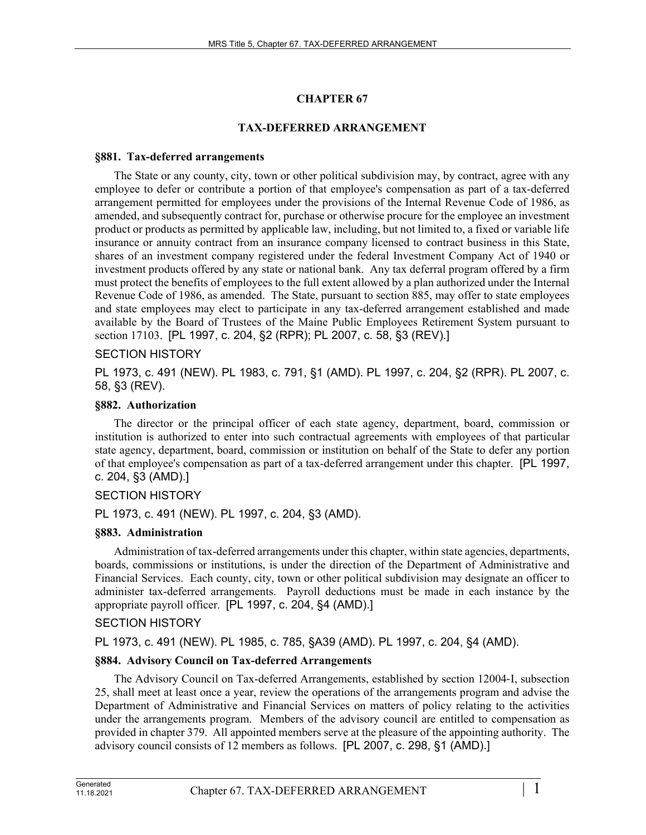# **CHAPTER 67**

# **TAX-DEFERRED ARRANGEMENT**

### **§881. Tax-deferred arrangements**

The State or any county, city, town or other political subdivision may, by contract, agree with any employee to defer or contribute a portion of that employee's compensation as part of a tax-deferred arrangement permitted for employees under the provisions of the Internal Revenue Code of 1986, as amended, and subsequently contract for, purchase or otherwise procure for the employee an investment product or products as permitted by applicable law, including, but not limited to, a fixed or variable life insurance or annuity contract from an insurance company licensed to contract business in this State, shares of an investment company registered under the federal Investment Company Act of 1940 or investment products offered by any state or national bank. Any tax deferral program offered by a firm must protect the benefits of employees to the full extent allowed by a plan authorized under the Internal Revenue Code of 1986, as amended. The State, pursuant to section 885, may offer to state employees and state employees may elect to participate in any tax-deferred arrangement established and made available by the Board of Trustees of the Maine Public Employees Retirement System pursuant to section 17103. [PL 1997, c. 204, §2 (RPR); PL 2007, c. 58, §3 (REV).]

# SECTION HISTORY

PL 1973, c. 491 (NEW). PL 1983, c. 791, §1 (AMD). PL 1997, c. 204, §2 (RPR). PL 2007, c. 58, §3 (REV).

# **§882. Authorization**

The director or the principal officer of each state agency, department, board, commission or institution is authorized to enter into such contractual agreements with employees of that particular state agency, department, board, commission or institution on behalf of the State to defer any portion of that employee's compensation as part of a tax-deferred arrangement under this chapter. [PL 1997, c. 204, §3 (AMD).]

# SECTION HISTORY

PL 1973, c. 491 (NEW). PL 1997, c. 204, §3 (AMD).

# **§883. Administration**

Administration of tax-deferred arrangements under this chapter, within state agencies, departments, boards, commissions or institutions, is under the direction of the Department of Administrative and Financial Services. Each county, city, town or other political subdivision may designate an officer to administer tax-deferred arrangements. Payroll deductions must be made in each instance by the appropriate payroll officer. [PL 1997, c. 204, §4 (AMD).]

# SECTION HISTORY

PL 1973, c. 491 (NEW). PL 1985, c. 785, §A39 (AMD). PL 1997, c. 204, §4 (AMD).

# **§884. Advisory Council on Tax-deferred Arrangements**

The Advisory Council on Tax-deferred Arrangements, established by section 12004‑I, subsection 25, shall meet at least once a year, review the operations of the arrangements program and advise the Department of Administrative and Financial Services on matters of policy relating to the activities under the arrangements program. Members of the advisory council are entitled to compensation as provided in chapter 379. All appointed members serve at the pleasure of the appointing authority. The advisory council consists of 12 members as follows. [PL 2007, c. 298, §1 (AMD).]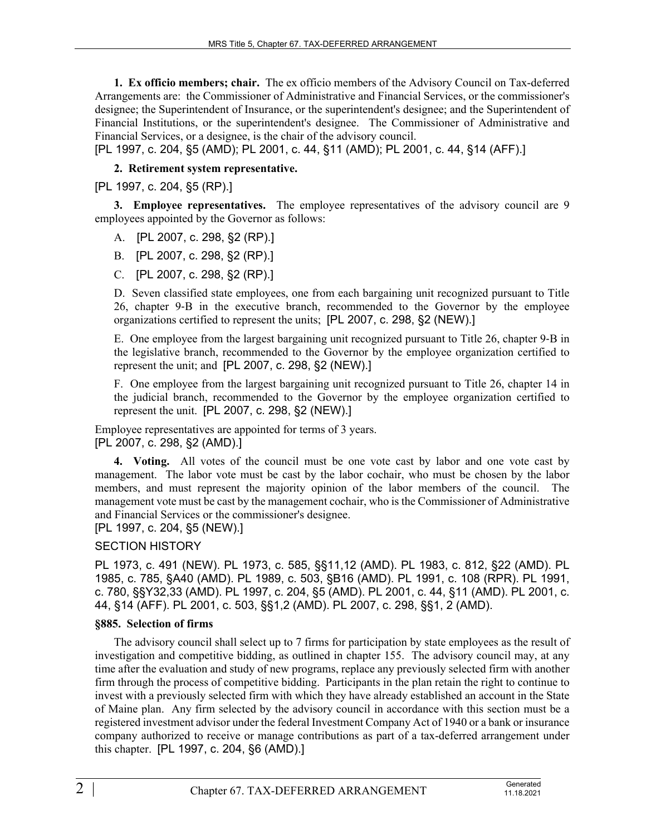**1. Ex officio members; chair.** The ex officio members of the Advisory Council on Tax-deferred Arrangements are: the Commissioner of Administrative and Financial Services, or the commissioner's designee; the Superintendent of Insurance, or the superintendent's designee; and the Superintendent of Financial Institutions, or the superintendent's designee. The Commissioner of Administrative and Financial Services, or a designee, is the chair of the advisory council.

[PL 1997, c. 204, §5 (AMD); PL 2001, c. 44, §11 (AMD); PL 2001, c. 44, §14 (AFF).]

### **2. Retirement system representative.**

[PL 1997, c. 204, §5 (RP).]

**3. Employee representatives.** The employee representatives of the advisory council are 9 employees appointed by the Governor as follows:

A. [PL 2007, c. 298, §2 (RP).]

B. [PL 2007, c. 298, §2 (RP).]

C. [PL 2007, c. 298, §2 (RP).]

D. Seven classified state employees, one from each bargaining unit recognized pursuant to Title 26, chapter 9‑B in the executive branch, recommended to the Governor by the employee organizations certified to represent the units; [PL 2007, c. 298, §2 (NEW).]

E. One employee from the largest bargaining unit recognized pursuant to Title 26, chapter 9‑B in the legislative branch, recommended to the Governor by the employee organization certified to represent the unit; and [PL 2007, c. 298, §2 (NEW).]

F. One employee from the largest bargaining unit recognized pursuant to Title 26, chapter 14 in the judicial branch, recommended to the Governor by the employee organization certified to represent the unit. [PL 2007, c. 298, §2 (NEW).]

Employee representatives are appointed for terms of 3 years. [PL 2007, c. 298, §2 (AMD).]

**4. Voting.** All votes of the council must be one vote cast by labor and one vote cast by management. The labor vote must be cast by the labor cochair, who must be chosen by the labor members, and must represent the majority opinion of the labor members of the council. The management vote must be cast by the management cochair, who is the Commissioner of Administrative and Financial Services or the commissioner's designee.

[PL 1997, c. 204, §5 (NEW).]

#### SECTION HISTORY

PL 1973, c. 491 (NEW). PL 1973, c. 585, §§11,12 (AMD). PL 1983, c. 812, §22 (AMD). PL 1985, c. 785, §A40 (AMD). PL 1989, c. 503, §B16 (AMD). PL 1991, c. 108 (RPR). PL 1991, c. 780, §§Y32,33 (AMD). PL 1997, c. 204, §5 (AMD). PL 2001, c. 44, §11 (AMD). PL 2001, c. 44, §14 (AFF). PL 2001, c. 503, §§1,2 (AMD). PL 2007, c. 298, §§1, 2 (AMD).

#### **§885. Selection of firms**

The advisory council shall select up to 7 firms for participation by state employees as the result of investigation and competitive bidding, as outlined in chapter 155. The advisory council may, at any time after the evaluation and study of new programs, replace any previously selected firm with another firm through the process of competitive bidding. Participants in the plan retain the right to continue to invest with a previously selected firm with which they have already established an account in the State of Maine plan. Any firm selected by the advisory council in accordance with this section must be a registered investment advisor under the federal Investment Company Act of 1940 or a bank or insurance company authorized to receive or manage contributions as part of a tax-deferred arrangement under this chapter. [PL 1997, c. 204, §6 (AMD).]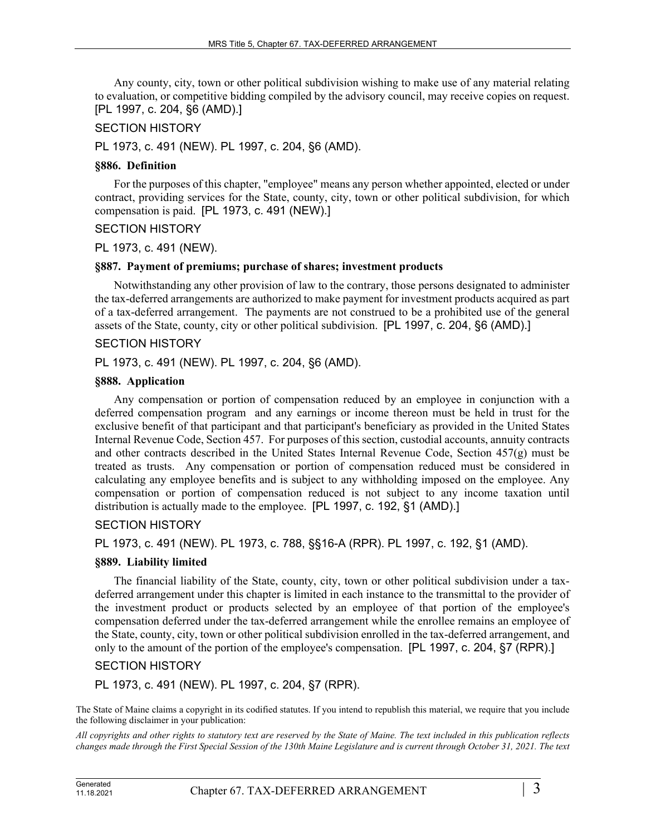Any county, city, town or other political subdivision wishing to make use of any material relating to evaluation, or competitive bidding compiled by the advisory council, may receive copies on request. [PL 1997, c. 204, §6 (AMD).]

#### SECTION HISTORY

PL 1973, c. 491 (NEW). PL 1997, c. 204, §6 (AMD).

#### **§886. Definition**

For the purposes of this chapter, "employee" means any person whether appointed, elected or under contract, providing services for the State, county, city, town or other political subdivision, for which compensation is paid. [PL 1973, c. 491 (NEW).]

### SECTION HISTORY

PL 1973, c. 491 (NEW).

### **§887. Payment of premiums; purchase of shares; investment products**

Notwithstanding any other provision of law to the contrary, those persons designated to administer the tax-deferred arrangements are authorized to make payment for investment products acquired as part of a tax-deferred arrangement. The payments are not construed to be a prohibited use of the general assets of the State, county, city or other political subdivision. [PL 1997, c. 204, §6 (AMD).]

### SECTION HISTORY

PL 1973, c. 491 (NEW). PL 1997, c. 204, §6 (AMD).

#### **§888. Application**

Any compensation or portion of compensation reduced by an employee in conjunction with a deferred compensation program and any earnings or income thereon must be held in trust for the exclusive benefit of that participant and that participant's beneficiary as provided in the United States Internal Revenue Code, Section 457. For purposes of this section, custodial accounts, annuity contracts and other contracts described in the United States Internal Revenue Code, Section 457(g) must be treated as trusts. Any compensation or portion of compensation reduced must be considered in calculating any employee benefits and is subject to any withholding imposed on the employee. Any compensation or portion of compensation reduced is not subject to any income taxation until distribution is actually made to the employee. [PL 1997, c. 192, §1 (AMD).]

# SECTION HISTORY

PL 1973, c. 491 (NEW). PL 1973, c. 788, §§16-A (RPR). PL 1997, c. 192, §1 (AMD).

# **§889. Liability limited**

The financial liability of the State, county, city, town or other political subdivision under a taxdeferred arrangement under this chapter is limited in each instance to the transmittal to the provider of the investment product or products selected by an employee of that portion of the employee's compensation deferred under the tax-deferred arrangement while the enrollee remains an employee of the State, county, city, town or other political subdivision enrolled in the tax-deferred arrangement, and only to the amount of the portion of the employee's compensation. [PL 1997, c. 204, §7 (RPR).]

# SECTION HISTORY

PL 1973, c. 491 (NEW). PL 1997, c. 204, §7 (RPR).

The State of Maine claims a copyright in its codified statutes. If you intend to republish this material, we require that you include the following disclaimer in your publication:

*All copyrights and other rights to statutory text are reserved by the State of Maine. The text included in this publication reflects changes made through the First Special Session of the 130th Maine Legislature and is current through October 31, 2021. The text*